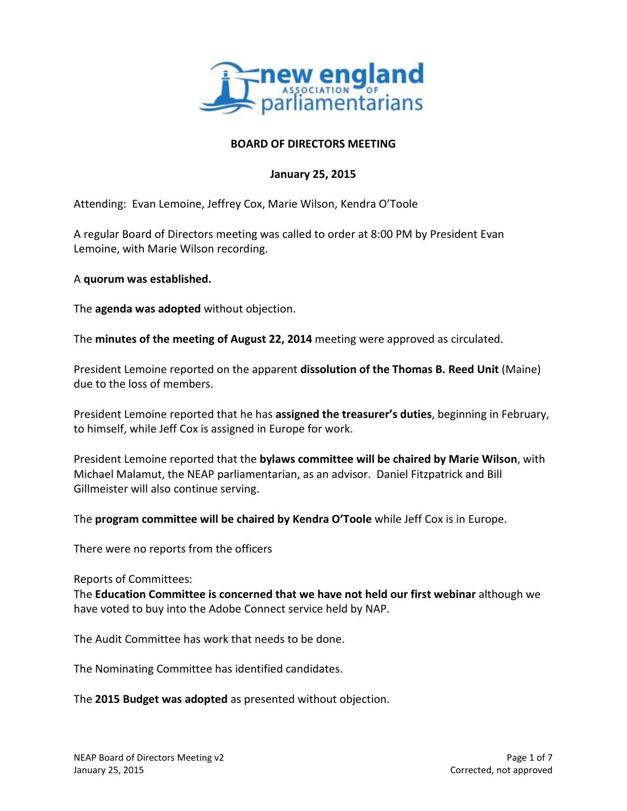

### **BOARD OF DIRECTORS MEETING**

### **January 25, 2015**

Attending: Evan Lemoine, Jeffrey Cox, Marie Wilson, Kendra O'Toole

A regular Board of Directors meeting was called to order at 8:00 PM by President Evan Lemoine, with Marie Wilson recording.

A **quorum was established.**

The **agenda was adopted** without objection.

The **minutes of the meeting of August 22, 2014** meeting were approved as circulated.

President Lemoine reported on the apparent **dissolution of the Thomas B. Reed Unit** (Maine) due to the loss of members.

President Lemoine reported that he has **assigned the treasurer's duties**, beginning in February, to himself, while Jeff Cox is assigned in Europe for work.

President Lemoine reported that the **bylaws committee will be chaired by Marie Wilson**, with Michael Malamut, the NEAP parliamentarian, as an advisor. Daniel Fitzpatrick and Bill Gillmeister will also continue serving.

The **program committee will be chaired by Kendra O'Toole** while Jeff Cox is in Europe.

There were no reports from the officers

Reports of Committees:

The **Education Committee is concerned that we have not held our first webinar** although we have voted to buy into the Adobe Connect service held by NAP.

The Audit Committee has work that needs to be done.

The Nominating Committee has identified candidates.

The **2015 Budget was adopted** as presented without objection.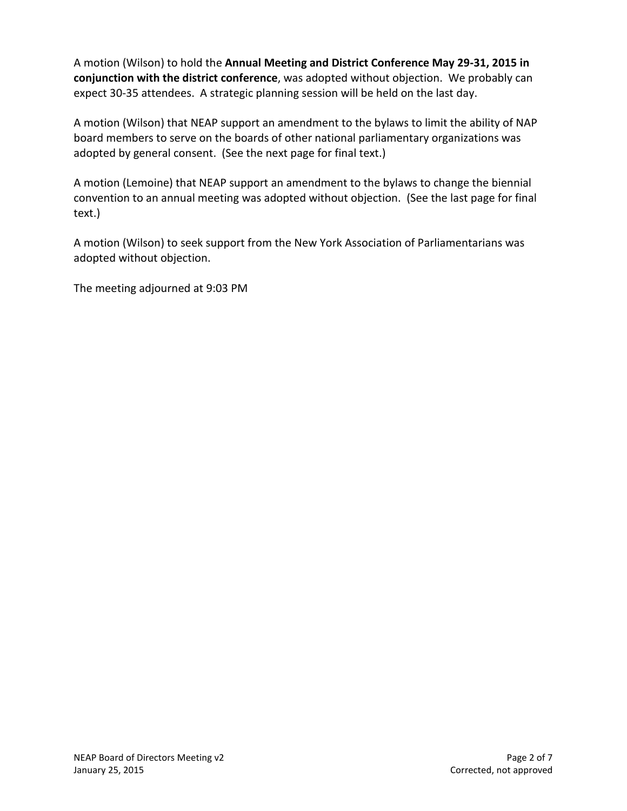A motion (Wilson) to hold the **Annual Meeting and District Conference May 29-31, 2015 in conjunction with the district conference**, was adopted without objection. We probably can expect 30-35 attendees. A strategic planning session will be held on the last day.

A motion (Wilson) that NEAP support an amendment to the bylaws to limit the ability of NAP board members to serve on the boards of other national parliamentary organizations was adopted by general consent. (See the next page for final text.)

A motion (Lemoine) that NEAP support an amendment to the bylaws to change the biennial convention to an annual meeting was adopted without objection. (See the last page for final text.)

A motion (Wilson) to seek support from the New York Association of Parliamentarians was adopted without objection.

The meeting adjourned at 9:03 PM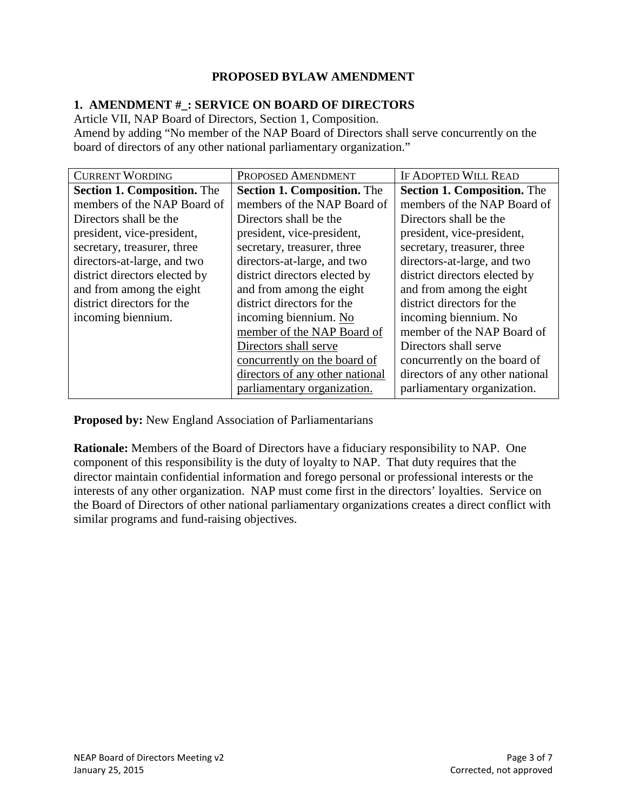# **PROPOSED BYLAW AMENDMENT**

## **1. AMENDMENT #\_: SERVICE ON BOARD OF DIRECTORS**

Article VII, NAP Board of Directors, Section 1, Composition.

Amend by adding "No member of the NAP Board of Directors shall serve concurrently on the board of directors of any other national parliamentary organization."

| <b>CURRENT WORDING</b>             | PROPOSED AMENDMENT                 | <b>IF ADOPTED WILL READ</b>        |
|------------------------------------|------------------------------------|------------------------------------|
| <b>Section 1. Composition.</b> The | <b>Section 1. Composition.</b> The | <b>Section 1. Composition.</b> The |
| members of the NAP Board of        | members of the NAP Board of        | members of the NAP Board of        |
| Directors shall be the             | Directors shall be the             | Directors shall be the             |
| president, vice-president,         | president, vice-president,         | president, vice-president,         |
| secretary, treasurer, three        | secretary, treasurer, three        | secretary, treasurer, three        |
| directors-at-large, and two        | directors-at-large, and two        | directors-at-large, and two        |
| district directors elected by      | district directors elected by      | district directors elected by      |
| and from among the eight           | and from among the eight           | and from among the eight           |
| district directors for the         | district directors for the         | district directors for the         |
| incoming biennium.                 | incoming biennium. No              | incoming biennium. No              |
|                                    | member of the NAP Board of         | member of the NAP Board of         |
|                                    | Directors shall serve              | Directors shall serve              |
|                                    | concurrently on the board of       | concurrently on the board of       |
|                                    | directors of any other national    | directors of any other national    |
|                                    | parliamentary organization.        | parliamentary organization.        |

**Proposed by:** New England Association of Parliamentarians

**Rationale:** Members of the Board of Directors have a fiduciary responsibility to NAP. One component of this responsibility is the duty of loyalty to NAP. That duty requires that the director maintain confidential information and forego personal or professional interests or the interests of any other organization. NAP must come first in the directors' loyalties. Service on the Board of Directors of other national parliamentary organizations creates a direct conflict with similar programs and fund-raising objectives.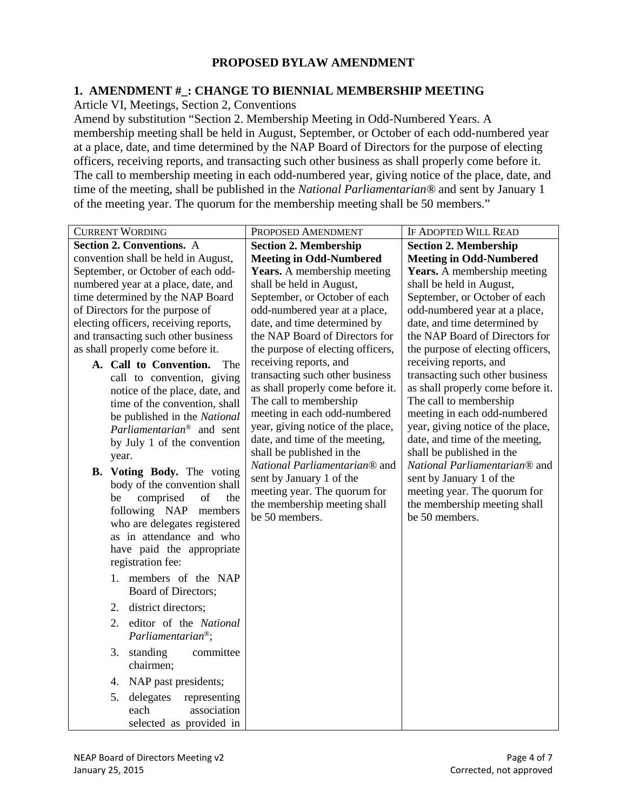### **PROPOSED BYLAW AMENDMENT**

### **1. AMENDMENT #\_: CHANGE TO BIENNIAL MEMBERSHIP MEETING**

Article VI, Meetings, Section 2, Conventions

Amend by substitution "Section 2. Membership Meeting in Odd-Numbered Years. A membership meeting shall be held in August, September, or October of each odd-numbered year at a place, date, and time determined by the NAP Board of Directors for the purpose of electing officers, receiving reports, and transacting such other business as shall properly come before it. The call to membership meeting in each odd-numbered year, giving notice of the place, date, and time of the meeting, shall be published in the *National Parliamentarian®* and sent by January 1 of the meeting year. The quorum for the membership meeting shall be 50 members."

| <b>CURRENT WORDING</b>                                                                                                                                                                                                                                                                                                                                                                                                                                                                                                                                                                                                                                                                                                                                                               | PROPOSED AMENDMENT                                                                                                                                                                                                                                                                                                                                                                                          | <b>IF ADOPTED WILL READ</b>                                                                                                                                                                                                                                                                                                                                                                                 |
|--------------------------------------------------------------------------------------------------------------------------------------------------------------------------------------------------------------------------------------------------------------------------------------------------------------------------------------------------------------------------------------------------------------------------------------------------------------------------------------------------------------------------------------------------------------------------------------------------------------------------------------------------------------------------------------------------------------------------------------------------------------------------------------|-------------------------------------------------------------------------------------------------------------------------------------------------------------------------------------------------------------------------------------------------------------------------------------------------------------------------------------------------------------------------------------------------------------|-------------------------------------------------------------------------------------------------------------------------------------------------------------------------------------------------------------------------------------------------------------------------------------------------------------------------------------------------------------------------------------------------------------|
| <b>Section 2. Conventions.</b> A                                                                                                                                                                                                                                                                                                                                                                                                                                                                                                                                                                                                                                                                                                                                                     | <b>Section 2. Membership</b>                                                                                                                                                                                                                                                                                                                                                                                | <b>Section 2. Membership</b>                                                                                                                                                                                                                                                                                                                                                                                |
| convention shall be held in August,                                                                                                                                                                                                                                                                                                                                                                                                                                                                                                                                                                                                                                                                                                                                                  | <b>Meeting in Odd-Numbered</b>                                                                                                                                                                                                                                                                                                                                                                              | <b>Meeting in Odd-Numbered</b>                                                                                                                                                                                                                                                                                                                                                                              |
| September, or October of each odd-                                                                                                                                                                                                                                                                                                                                                                                                                                                                                                                                                                                                                                                                                                                                                   | <b>Years.</b> A membership meeting                                                                                                                                                                                                                                                                                                                                                                          | <b>Years.</b> A membership meeting                                                                                                                                                                                                                                                                                                                                                                          |
| numbered year at a place, date, and                                                                                                                                                                                                                                                                                                                                                                                                                                                                                                                                                                                                                                                                                                                                                  | shall be held in August,                                                                                                                                                                                                                                                                                                                                                                                    | shall be held in August,                                                                                                                                                                                                                                                                                                                                                                                    |
| time determined by the NAP Board                                                                                                                                                                                                                                                                                                                                                                                                                                                                                                                                                                                                                                                                                                                                                     | September, or October of each                                                                                                                                                                                                                                                                                                                                                                               | September, or October of each                                                                                                                                                                                                                                                                                                                                                                               |
| of Directors for the purpose of                                                                                                                                                                                                                                                                                                                                                                                                                                                                                                                                                                                                                                                                                                                                                      | odd-numbered year at a place,                                                                                                                                                                                                                                                                                                                                                                               | odd-numbered year at a place,                                                                                                                                                                                                                                                                                                                                                                               |
| electing officers, receiving reports,                                                                                                                                                                                                                                                                                                                                                                                                                                                                                                                                                                                                                                                                                                                                                | date, and time determined by                                                                                                                                                                                                                                                                                                                                                                                | date, and time determined by                                                                                                                                                                                                                                                                                                                                                                                |
| and transacting such other business                                                                                                                                                                                                                                                                                                                                                                                                                                                                                                                                                                                                                                                                                                                                                  | the NAP Board of Directors for                                                                                                                                                                                                                                                                                                                                                                              | the NAP Board of Directors for                                                                                                                                                                                                                                                                                                                                                                              |
| as shall properly come before it.                                                                                                                                                                                                                                                                                                                                                                                                                                                                                                                                                                                                                                                                                                                                                    | the purpose of electing officers,                                                                                                                                                                                                                                                                                                                                                                           | the purpose of electing officers,                                                                                                                                                                                                                                                                                                                                                                           |
| A. Call to Convention.<br>The<br>call to convention, giving<br>notice of the place, date, and<br>time of the convention, shall<br>be published in the National<br>Parliamentarian <sup>®</sup> and sent<br>by July 1 of the convention<br>year.<br>B. Voting Body. The voting<br>body of the convention shall<br>comprised<br>of<br>be<br>the<br>following NAP<br>members<br>who are delegates registered<br>as in attendance and who<br>have paid the appropriate<br>registration fee:<br>1. members of the NAP<br>Board of Directors;<br>2. district directors;<br>editor of the National<br>2.<br>$Parlimentarian®$ ;<br>standing<br>committee<br>3.<br>chairmen;<br>4. NAP past presidents;<br>delegates<br>5.<br>representing<br>association<br>each<br>selected as provided in | receiving reports, and<br>transacting such other business<br>as shall properly come before it.<br>The call to membership<br>meeting in each odd-numbered<br>year, giving notice of the place,<br>date, and time of the meeting,<br>shall be published in the<br>National Parliamentarian® and<br>sent by January 1 of the<br>meeting year. The quorum for<br>the membership meeting shall<br>be 50 members. | receiving reports, and<br>transacting such other business<br>as shall properly come before it.<br>The call to membership<br>meeting in each odd-numbered<br>year, giving notice of the place,<br>date, and time of the meeting,<br>shall be published in the<br>National Parliamentarian® and<br>sent by January 1 of the<br>meeting year. The quorum for<br>the membership meeting shall<br>be 50 members. |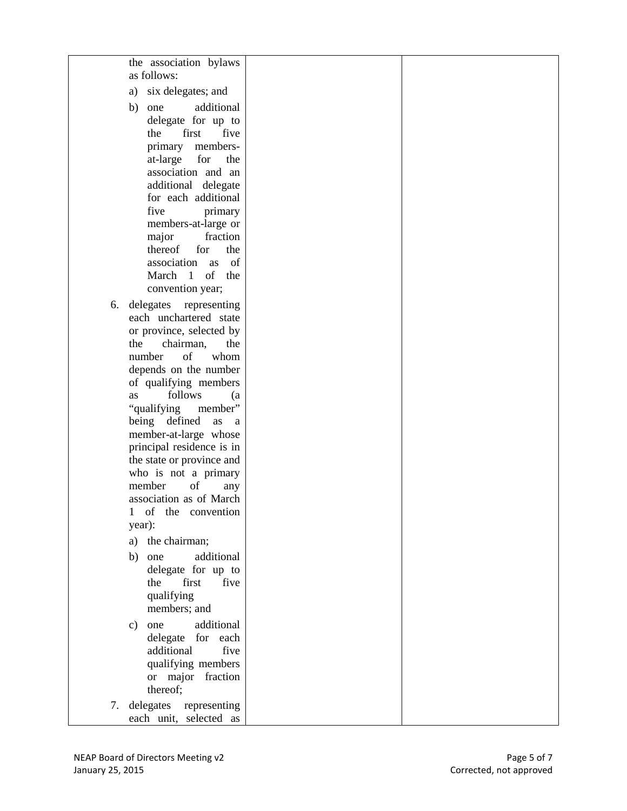|    | the association bylaws<br>as follows:                                                                                                |  |
|----|--------------------------------------------------------------------------------------------------------------------------------------|--|
|    | six delegates; and<br>a)                                                                                                             |  |
|    | additional<br>one<br>b)<br>delegate for up to<br>first<br>five<br>the<br>primary<br>members-                                         |  |
|    | at-large<br>for<br>the<br>association and an<br>additional delegate<br>for each additional<br>five<br>primary                        |  |
|    | members-at-large or<br>fraction<br>major<br>thereof<br>for<br>the<br>of<br>association as<br>March 1<br>of<br>the                    |  |
|    | convention year;                                                                                                                     |  |
| 6. | delegates<br>representing<br>each unchartered state<br>or province, selected by                                                      |  |
|    | the<br>chairman,<br>the<br>of<br>number<br>whom                                                                                      |  |
|    | depends on the number<br>of qualifying members                                                                                       |  |
|    | follows<br>as<br>(a<br>"qualifying<br>member"<br>being defined<br>as<br>- a<br>member-at-large whose                                 |  |
|    | principal residence is in<br>the state or province and<br>who is not a primary<br>member<br>of<br>any                                |  |
|    | association as of March<br>1 of the convention<br>year):                                                                             |  |
|    | a) the chairman;                                                                                                                     |  |
|    | additional<br>one<br>b)<br>delegate for up to<br>first<br>the<br>five<br>qualifying<br>members; and                                  |  |
|    | one<br>additional<br>$\mathbf{c})$<br>delegate for each<br>additional<br>five<br>qualifying members<br>or major fraction<br>thereof; |  |
| 7. | delegates representing<br>each unit, selected as                                                                                     |  |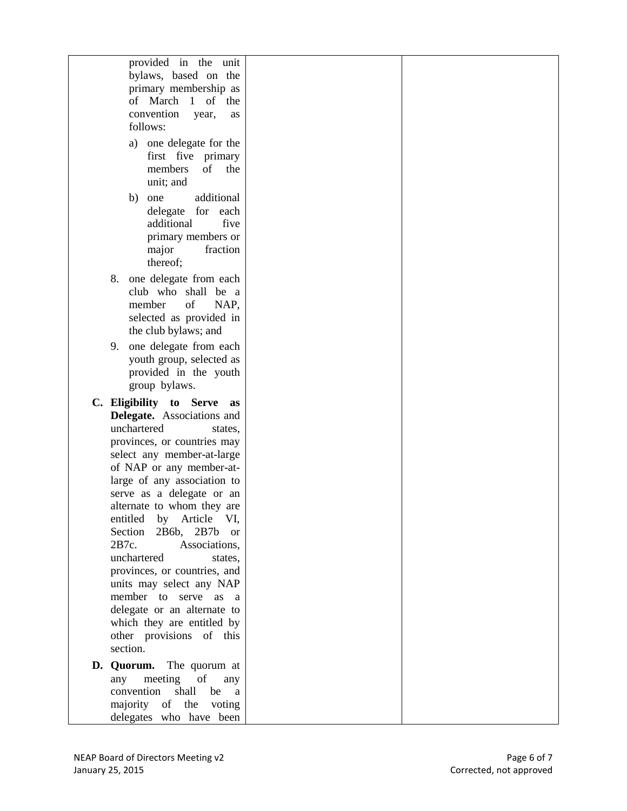| provided in the unit                                     |  |
|----------------------------------------------------------|--|
| bylaws, based on the<br>primary membership as            |  |
| of March 1<br>of the                                     |  |
| convention<br>year,<br>as<br>follows:                    |  |
|                                                          |  |
| a) one delegate for the<br>first five primary            |  |
| members<br>of<br>the                                     |  |
| unit; and                                                |  |
| additional<br>b)<br>one                                  |  |
| delegate<br>for<br>each                                  |  |
| additional<br>five<br>primary members or                 |  |
| major<br>fraction                                        |  |
| thereof;                                                 |  |
| one delegate from each<br>8.                             |  |
| club who shall be a                                      |  |
| of<br>member<br>NAP,<br>selected as provided in          |  |
| the club bylaws; and                                     |  |
| one delegate from each<br>9.                             |  |
| youth group, selected as                                 |  |
| provided in the youth                                    |  |
| group bylaws.                                            |  |
| C. Eligibility to Serve<br>as                            |  |
| Delegate. Associations and<br>unchartered<br>states,     |  |
| provinces, or countries may                              |  |
| select any member-at-large                               |  |
| of NAP or any member-at-                                 |  |
| large of any association to<br>serve as a delegate or an |  |
| alternate to whom they are                               |  |
| entitled by Article VI,                                  |  |
| Section 2B6b,<br>$2B7b$ or                               |  |
| 2B7c.<br>Associations,                                   |  |
| unchartered<br>states,                                   |  |
|                                                          |  |
| provinces, or countries, and                             |  |
| units may select any NAP<br>member to serve as a         |  |
| delegate or an alternate to                              |  |
| which they are entitled by                               |  |
| other provisions of this<br>section.                     |  |
|                                                          |  |
| D. Quorum. The quorum at<br>meeting of<br>any<br>any     |  |
| convention<br>shall<br>be<br><sub>a</sub>                |  |
| majority of the voting<br>delegates who have been        |  |